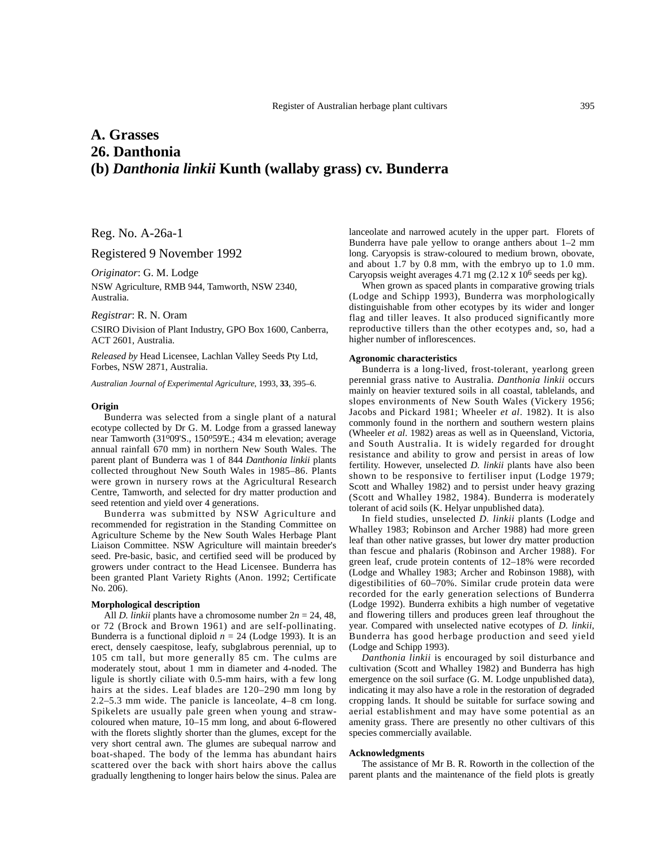# **A. Grasses 26. Danthonia (b)** *Danthonia linkii* **Kunth (wallaby grass) cv. Bunderra**

Reg. No. A-26a-1

## Registered 9 November 1992

*Originator*: G. M. Lodge

NSW Agriculture, RMB 944, Tamworth, NSW 2340, Australia.

## *Registrar*: R. N. Oram

CSIRO Division of Plant Industry, GPO Box 1600, Canberra, ACT 2601, Australia.

*Released by* Head Licensee, Lachlan Valley Seeds Pty Ltd, Forbes, NSW 2871, Australia.

*Australian Journal of Experimental Agriculture*, 1993, **33**, 395–6.

## **Origin**

Bunderra was selected from a single plant of a natural ecotype collected by Dr G. M. Lodge from a grassed laneway near Tamworth (31°09'S., 150°59'E.; 434 m elevation; average annual rainfall 670 mm) in northern New South Wales. The parent plant of Bunderra was 1 of 844 *Danthonia linkii* plants collected throughout New South Wales in 1985–86. Plants were grown in nursery rows at the Agricultural Research Centre, Tamworth, and selected for dry matter production and seed retention and yield over 4 generations.

Bunderra was submitted by NSW Agriculture and recommended for registration in the Standing Committee on Agriculture Scheme by the New South Wales Herbage Plant Liaison Committee. NSW Agriculture will maintain breeder's seed. Pre-basic, basic, and certified seed will be produced by growers under contract to the Head Licensee. Bunderra has been granted Plant Variety Rights (Anon. 1992; Certificate No. 206).

## **Morphological description**

All *D. linkii* plants have a chromosome number 2*n* = 24, 48, or 72 (Brock and Brown 1961) and are self-pollinating. Bunderra is a functional diploid  $n = 24$  (Lodge 1993). It is an erect, densely caespitose, leafy, subglabrous perennial, up to 105 cm tall, but more generally 85 cm. The culms are moderately stout, about 1 mm in diameter and 4-noded. The ligule is shortly ciliate with 0.5-mm hairs, with a few long hairs at the sides. Leaf blades are 120–290 mm long by 2.2–5.3 mm wide. The panicle is lanceolate, 4–8 cm long. Spikelets are usually pale green when young and strawcoloured when mature, 10–15 mm long, and about 6-flowered with the florets slightly shorter than the glumes, except for the very short central awn. The glumes are subequal narrow and boat-shaped. The body of the lemma has abundant hairs scattered over the back with short hairs above the callus gradually lengthening to longer hairs below the sinus. Palea are lanceolate and narrowed acutely in the upper part. Florets of Bunderra have pale yellow to orange anthers about 1–2 mm long. Caryopsis is straw-coloured to medium brown, obovate, and about 1.7 by 0.8 mm, with the embryo up to 1.0 mm. Caryopsis weight averages 4.71 mg  $(2.12 \times 10^6 \text{ seeds per kg}).$ 

When grown as spaced plants in comparative growing trials (Lodge and Schipp 1993), Bunderra was morphologically distinguishable from other ecotypes by its wider and longer flag and tiller leaves. It also produced significantly more reproductive tillers than the other ecotypes and, so, had a higher number of inflorescences.

#### **Agronomic characteristics**

Bunderra is a long-lived, frost-tolerant, yearlong green perennial grass native to Australia. *Danthonia linkii* occurs mainly on heavier textured soils in all coastal, tablelands, and slopes environments of New South Wales (Vickery 1956; Jacobs and Pickard 1981; Wheeler *et al*. 1982). It is also commonly found in the northern and southern western plains (Wheeler *et al*. 1982) areas as well as in Queensland, Victoria, and South Australia. It is widely regarded for drought resistance and ability to grow and persist in areas of low fertility. However, unselected *D. linkii* plants have also been shown to be responsive to fertiliser input (Lodge 1979; Scott and Whalley 1982) and to persist under heavy grazing (Scott and Whalley 1982, 1984). Bunderra is moderately tolerant of acid soils (K. Helyar unpublished data).

In field studies, unselected *D. linkii* plants (Lodge and Whalley 1983; Robinson and Archer 1988) had more green leaf than other native grasses, but lower dry matter production than fescue and phalaris (Robinson and Archer 1988). For green leaf, crude protein contents of 12–18% were recorded (Lodge and Whalley 1983; Archer and Robinson 1988), with digestibilities of 60–70%. Similar crude protein data were recorded for the early generation selections of Bunderra (Lodge 1992). Bunderra exhibits a high number of vegetative and flowering tillers and produces green leaf throughout the year. Compared with unselected native ecotypes of *D. linkii*, Bunderra has good herbage production and seed yield (Lodge and Schipp 1993).

*Danthonia linkii* is encouraged by soil disturbance and cultivation (Scott and Whalley 1982) and Bunderra has high emergence on the soil surface (G. M. Lodge unpublished data), indicating it may also have a role in the restoration of degraded cropping lands. It should be suitable for surface sowing and aerial establishment and may have some potential as an amenity grass. There are presently no other cultivars of this species commercially available.

### **Acknowledgments**

The assistance of Mr B. R. Roworth in the collection of the parent plants and the maintenance of the field plots is greatly